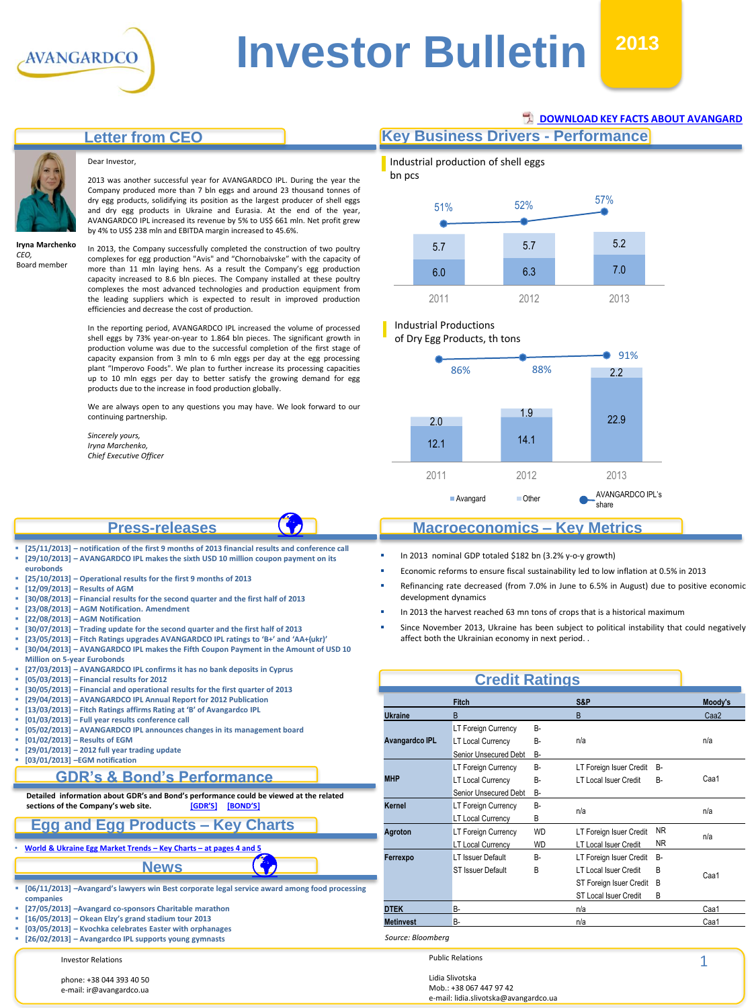

## **Letter from CEO**

Dear Investor,

2013 was another successful year for AVANGARDCO IPL. During the year the

Сompany produced more than 7 bln eggs and around 23 thousand tonnes of dry egg products, solidifying its position as the largest producer of shell eggs and dry egg products in Ukraine and Eurasia. At the end of the year, AVANGARDCO IPL increased its revenue by 5% to US\$ 661 mln. Net profit grew by 4% to US\$ 238 mln and EBITDA margin increased to 45.6%.

**Iryna Marchenko** *CEO,* Board member

**eurobonds**

**[12/09/2013] – Results of AGM** 

**Million on 5-year Eurobonds** 

 **[01/02/2013] – Results of EGM [29/01/2013] – 2012 full year trading update [03/01/2013] –EGM notification** 

 **[23/08/2013] – AGM Notification. Amendment [22/08/2013] – AGM Notification** 

**[05/03/2013] – Financial results for 2012** 

**[01/03/2013] – Full year results conference call** 

In 2013, the Company successfully completed the construction of two poultry complexes for egg production "Avis" and "Chornobaivske" with the capacity of more than 11 mln laying hens. As a result the Company's egg production capacity increased to 8.6 bln pieces. The Company installed at these poultry complexes the most advanced technologies and production equipment from the leading suppliers which is expected to result in improved production efficiencies and decrease the cost of production.

In the reporting period, AVANGARDCO IPL increased the volume of processed shell eggs by 73% year-on-year to 1.864 bln pieces. The significant growth in production volume was due to the successful completion of the first stage of capacity expansion from 3 mln to 6 mln eggs per day at the egg processing plant "Imperovo Foods". We plan to further increase its processing capacities up to 10 mln eggs per day to better satisfy the growing demand for egg products due to the increase in food production globally.

We are always open to any questions you may have. We look forward to our continuing partnership.

 $\bigcirc$ 

 **[25/11/2013] – notification of the first 9 months of 2013 financial results and conference call [29/10/2013] – AVANGARDCO IPL makes the sixth USD 10 million coupon payment on its** 

*Sincerely yours, Iryna Marchenko, Chief Executive Officer*

**[25/10/2013] – Operational results for the first 9 months of 2013**

**[30/08/2013] – Financial results for the second quarter and the first half of 2013** 

**Press-releases**

 **[30/07/2013] – Trading update for the second quarter and the first half of 2013 [23/05/2013] – Fitch Ratings upgrades AVANGARDCO IPL ratings to 'B+' and 'AA+(ukr)' [30/04/2013] – AVANGARDCO IPL makes the Fifth Coupon Payment in the Amount of USD 10** 

**[27/03/2013] – AVANGARDCO IPL confirms it has no bank deposits in Cyprus** 

 **[30/05/2013] – Financial and operational results for the first quarter of 2013 [29/04/2013] – AVANGARDCO IPL Annual Report for 2012 Publication [13/03/2013] – Fitch Ratings affirms Rating at 'B' of Avangardco IPL** 

**[05/02/2013] – AVANGARDCO IPL announces changes in its management board** 

## **[DOWNLOAD KEY FACTS ABOUT AVANGARD](http://www.avangard.co.ua/eng/for-investors/financial-overview/key_files/)**

## **Key Business Drivers - Performance**

Industrial production of shell eggs

bn pcs



#### Industrial Productions

of Dry Egg Products, th tons



### **Macroeconomics – Key Metrics**

In 2013 nominal GDP totaled \$182 bn (3.2% y-o-y growth)

- Economic reforms to ensure fiscal sustainability led to low inflation at 0.5% in 2013
- Refinancing rate decreased (from 7.0% in June to 6.5% in August) due to positive economic development dynamics
- In 2013 the harvest reached 63 mn tons of crops that is a historical maximum
- Since November 2013, Ukraine has been subject to political instability that could negatively affect both the Ukrainian economy in next period. .

## **Credit Ratings**

|                  | <b>Fitch</b>             |           | S&P                     |           | Moody's          |  |
|------------------|--------------------------|-----------|-------------------------|-----------|------------------|--|
| <b>Ukraine</b>   | B                        |           | B                       |           | Caa <sub>2</sub> |  |
|                  | LT Foreign Currency      | B-        |                         |           |                  |  |
| Avangardco IPL   | <b>LT Local Currency</b> | B-        | n/a                     |           | n/a              |  |
|                  | Senior Unsecured Debt    | B-        |                         |           |                  |  |
|                  | LT Foreign Currency      | B-        | LT Foreign Isuer Credit | B-        |                  |  |
| <b>MHP</b>       | <b>LT Local Currency</b> | B-        | LT Local Isuer Credit   | B-        | Caa1             |  |
|                  | Senior Unsecured Debt    | B-        |                         |           |                  |  |
| Kernel           | LT Foreign Currency      | B-        | n/a                     |           | n/a              |  |
|                  | <b>LT Local Currency</b> | B         |                         |           |                  |  |
| Agroton          | LT Foreign Currency      | <b>WD</b> | LT Foreign Isuer Credit | <b>NR</b> | n/a              |  |
|                  | <b>LT Local Currency</b> | <b>WD</b> | LT Local Isuer Credit   | NR.       |                  |  |
| Ferrexpo         | LT Issuer Default        | B-        | LT Foreign Isuer Credit | B-        |                  |  |
|                  | ST Issuer Default        | B         | LT Local Isuer Credit   | B         | Caa1             |  |
|                  |                          |           | ST Foreign Isuer Credit | B         |                  |  |
|                  |                          |           | ST Local Isuer Credit   | B         |                  |  |
| <b>DTEK</b>      | В-                       |           | n/a                     |           | Caa1             |  |
| <b>Metinvest</b> | В-                       |           | n/a                     |           | Caa1             |  |

*Source: Bloomberg*

Public Relations

Lidia Slivotska Mob.: +38 067 447 97 42 e-mail: lidia.slivotska@avangardco.ua



**Egg and Egg Products – Key Charts GDR's & Bond's Performance Detailed information about GDR's and Bond's performance could be viewed at the related sections of the Company's web site. [\[GDR'S\]](http://avangard.co.ua/eng/for-investors/share-information/share-price/) [\[BOND'S\]](http://avangard.co.ua/eng/for-investors/Bond/bond_price/)**

• **World & [Ukraine](#page-3-0) Egg Market Trends – Key Charts – at pages 4 and 5**

**News**

 **[06/11/2013] –Avangard's lawyers win Best corporate legal service award among food processing companies** 

57

- **[27/05/2013] –Avangard co-sponsors Charitable marathon**
- **[16/05/2013] – Okean Elzy's grand stadium tour 2013**
- **[03/05/2013] – Kvochka celebrates Easter with orphanages**
- **[26/02/2013] – Avangardco IPL supports young gymnasts**

Investor Relations

phone: +38 044 393 40 50 e-mail: ir@avangardco.ua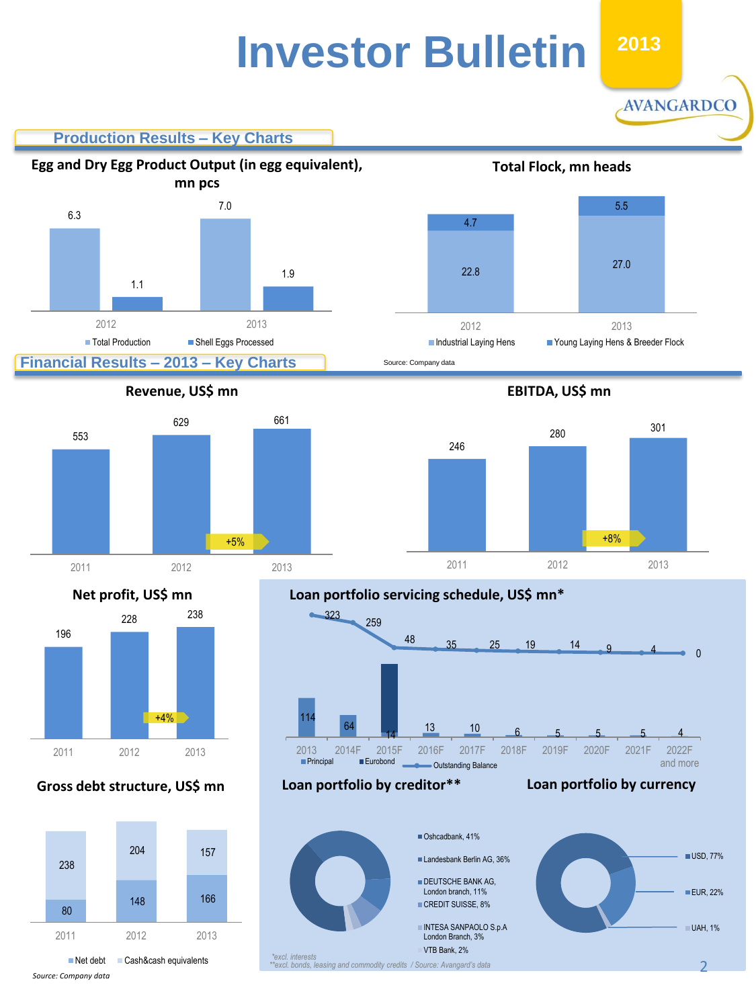**AVANGARDCO** 

## **Production Results – Key Charts**



**Total Flock, mn heads**





**Revenue, US\$ mn EBITDA, US\$ mn** 246





**Gross debt structure, US\$ mn**





2013 2014F 2015F 2016F 2017F 2018F 2019F 2020F 2021F 2022F **Principal Eurobond Contract Dutstanding Balance Contract Dutstanding Balance Contract Dutstanding Contract Principal Principal Principal Principal Principal Principal Principal Principal Principal Principal Principal** 

**Loan portfolio by creditor\*\***

**Loan portfolio by currency**



*Source: Company data*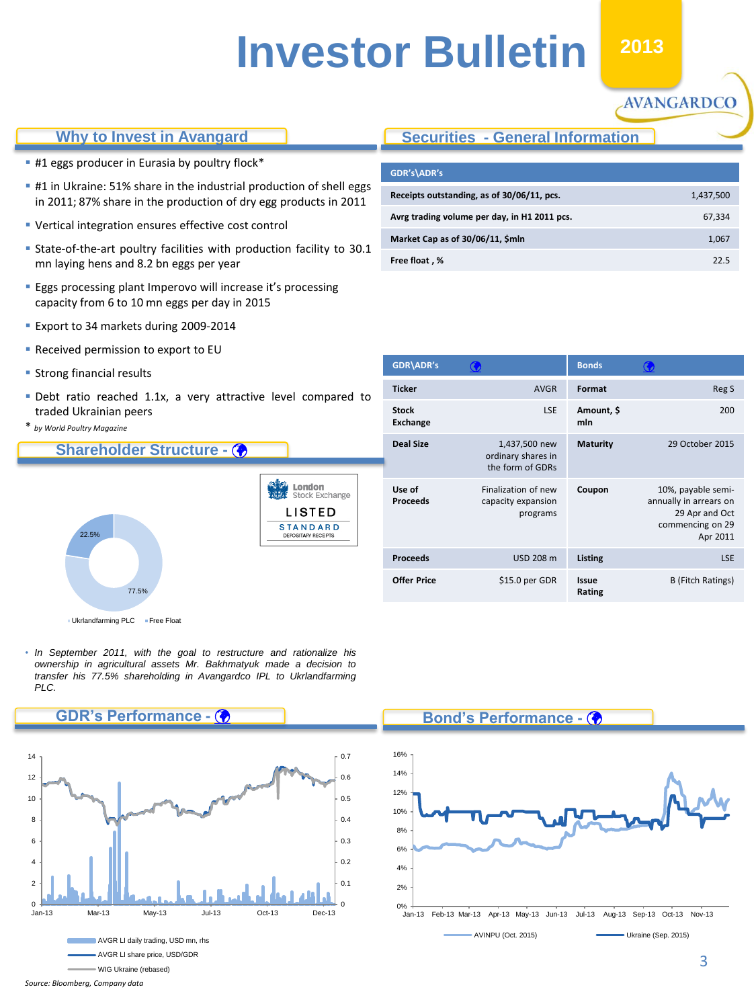### **Why to Invest in Avangard**

- **#1 eggs producer in Eurasia by poultry flock\***
- **#1** in Ukraine: 51% share in the industrial production of shell eggs in 2011; 87% share in the production of dry egg products in 2011
- Vertical integration ensures effective cost control
- State-of-the-art poultry facilities with production facility to 30.1 mn laying hens and 8.2 bn eggs per year
- **Eggs processing plant Imperovo will increase it's processing** capacity from 6 to 10 mn eggs per day in 2015
- **Export to 34 markets during 2009-2014**
- **Received permission to export to EU**
- **Strong financial results**
- Debt ratio reached 1.1x, a very attractive level compared to traded Ukrainian peers
- \* *by World Poultry Magazine*

### **Shareholder Structure -**



· Ukrlandfarming PLC · Free Float

• *In September 2011, with the goal to restructure and rationalize his ownership in agricultural assets Mr. Bakhmatyuk made a decision to transfer his 77.5% shareholding in Avangardco IPL to Ukrlandfarming PLC.*



AVGR LI daily trading, USD mn, rhs

AVGR LI share price, USD/GDR

WIG Ukraine (rebased)

*Source: Bloomberg, Company data*

## **Securities - General Information**

| GDR's\ADR's                                  |           |
|----------------------------------------------|-----------|
| Receipts outstanding, as of 30/06/11, pcs.   | 1,437,500 |
| Avrg trading volume per day, in H1 2011 pcs. | 67,334    |
| Market Cap as of 30/06/11, \$mln             | 1,067     |
| Free float, %                                | 225       |

**H1 2013**

**AVANGARDCO** 

| GDR\ADR's                       | $\mathbf G$                                             | <b>Bonds</b>      | ( )                                                                                            |
|---------------------------------|---------------------------------------------------------|-------------------|------------------------------------------------------------------------------------------------|
| <b>Ticker</b>                   | <b>AVGR</b>                                             | Format            | Reg S                                                                                          |
| <b>Stock</b><br><b>Exchange</b> | <b>LSE</b>                                              | Amount, \$<br>mln | 200                                                                                            |
| <b>Deal Size</b>                | 1,437,500 new<br>ordinary shares in<br>the form of GDRs | <b>Maturity</b>   | 29 October 2015                                                                                |
| Use of<br><b>Proceeds</b>       | Finalization of new<br>capacity expansion<br>programs   | Coupon            | 10%, payable semi-<br>annually in arrears on<br>29 Apr and Oct<br>commencing on 29<br>Apr 2011 |
| <b>Proceeds</b>                 | <b>USD 208 m</b>                                        | <b>Listing</b>    | <b>LSE</b>                                                                                     |
| <b>Offer Price</b>              | \$15.0 per GDR                                          | Issue<br>Rating   | B (Fitch Ratings)                                                                              |

## **Bond's Performance -**

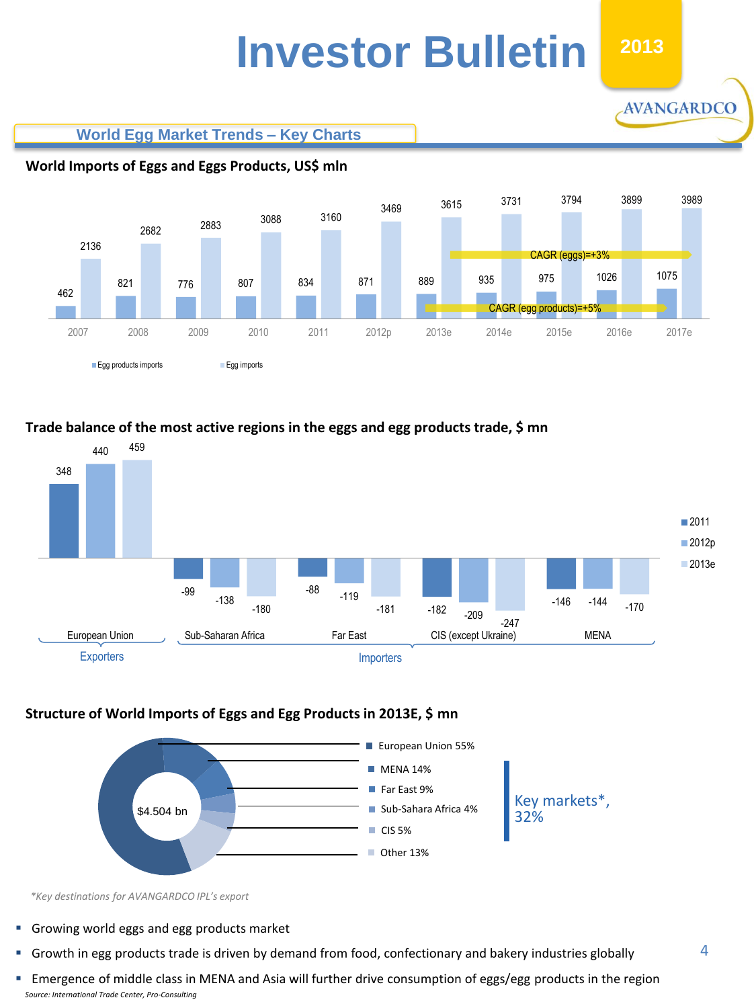**AVANGARDCO** 

**World Egg Market Trends – Key Charts**

**World Imports of Eggs and Eggs Products, US\$ mln**



## **Trade balance of the most active regions in the eggs and egg products trade, \$ mn**



## **Structure of World Imports of Eggs and Egg Products in 2013E, \$ mn**



*\*Key destinations for AVANGARDCO IPL's export*

- Growing world eggs and egg products market
- <span id="page-3-0"></span> Growth in egg products trade is driven by demand from food, confectionary and bakery industries globally
	- Emergence of middle class in MENA and Asia will further drive consumption of eggs/egg products in the region *Source: International Trade Center, Pro-Consulting*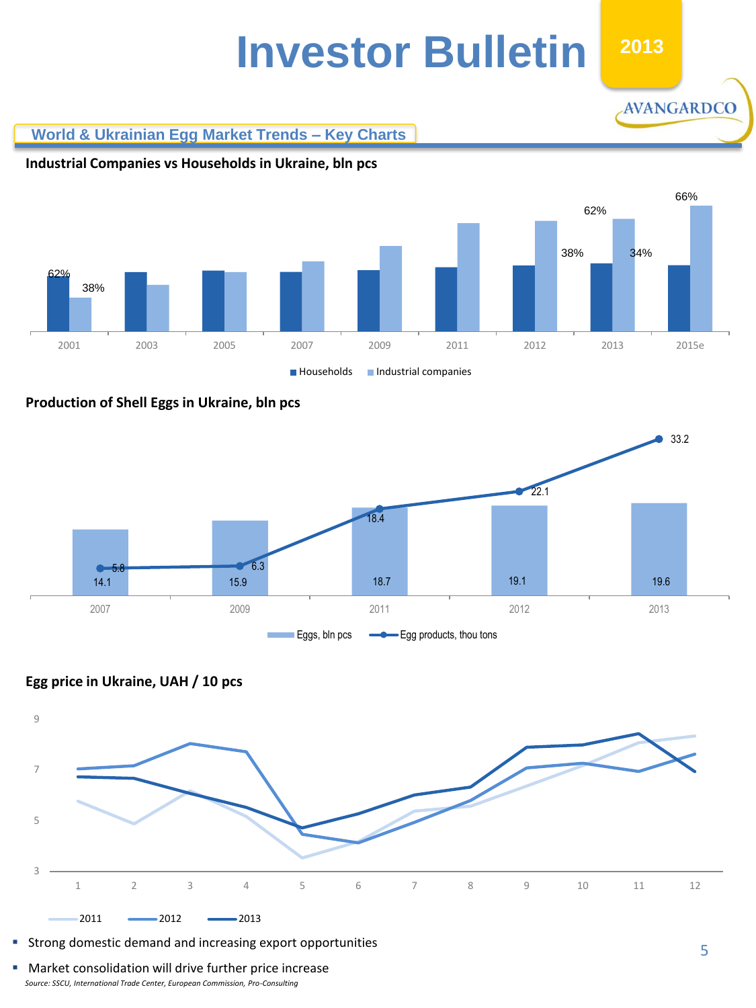AVANGARDCO

## **World & Ukrainian Egg Market Trends – Key Charts**





## **Production of Shell Eggs in Ukraine, bln pcs**







**Strong domestic demand and increasing export opportunities** 

Market consolidation will drive further price increase *Source: SSCU, International Trade Center, European Commission, Pro-Consulting*